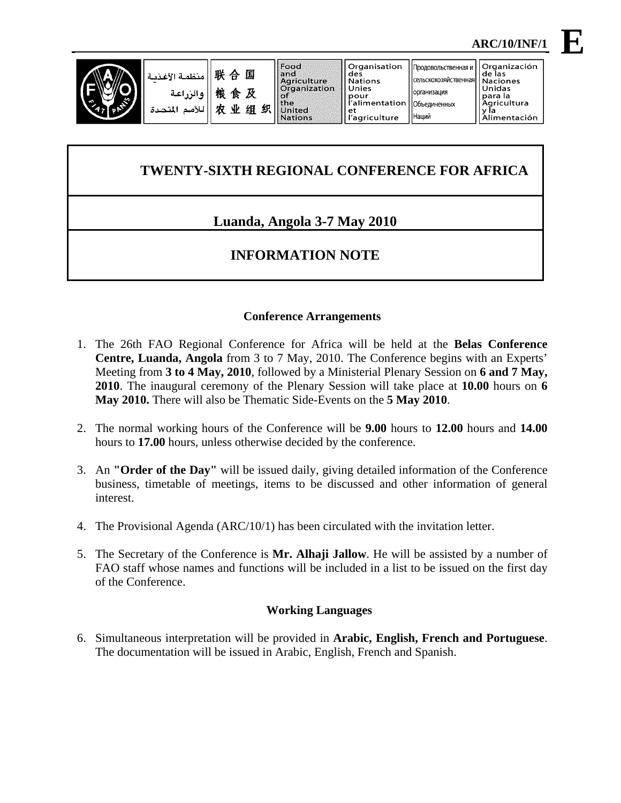

| منظمة <br>  联 合 国 <sub>والزراعة</sub>  <br>  للأمم الم<br>  للأمم الم |
|-----------------------------------------------------------------------|
|                                                                       |

Food

Organisation

организация

Наций

Объединенных

**E**

# **TWENTY-SIXTH REGIONAL CONFERENCE FOR AFRICA**

# **Luanda, Angola 3-7 May 2010**

# **INFORMATION NOTE**

## **Conference Arrangements**

- 1. The 26th FAO Regional Conference for Africa will be held at the **Belas Conference Centre, Luanda, Angola** from 3 to 7 May, 2010. The Conference begins with an Experts' Meeting from **3 to 4 May, 2010**, followed by a Ministerial Plenary Session on **6 and 7 May, 2010**. The inaugural ceremony of the Plenary Session will take place at **10.00** hours on **6 May 2010.** There will also be Thematic Side-Events on the **5 May 2010**.
- 2. The normal working hours of the Conference will be **9.00** hours to **12.00** hours and **14.00**  hours to **17.00** hours, unless otherwise decided by the conference.
- 3. An **"Order of the Day"** will be issued daily, giving detailed information of the Conference business, timetable of meetings, items to be discussed and other information of general interest.
- 4. The Provisional Agenda (ARC/10/1) has been circulated with the invitation letter.
- 5. The Secretary of the Conference is **Mr. Alhaji Jallow**. He will be assisted by a number of FAO staff whose names and functions will be included in a list to be issued on the first day of the Conference.

## **Working Languages**

6. Simultaneous interpretation will be provided in **Arabic, English, French and Portuguese**. The documentation will be issued in Arabic, English, French and Spanish.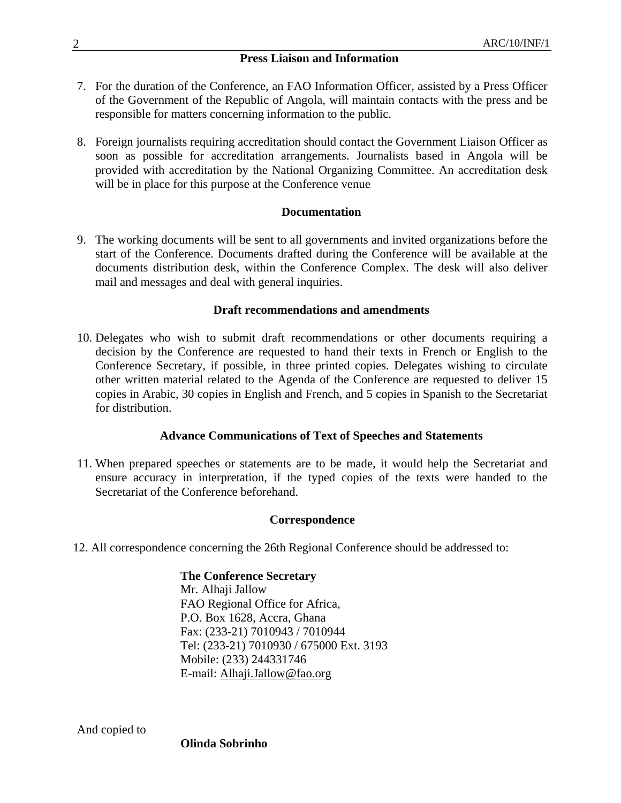### **Press Liaison and Information**

- 7. For the duration of the Conference, an FAO Information Officer, assisted by a Press Officer of the Government of the Republic of Angola, will maintain contacts with the press and be responsible for matters concerning information to the public.
- 8. Foreign journalists requiring accreditation should contact the Government Liaison Officer as soon as possible for accreditation arrangements. Journalists based in Angola will be provided with accreditation by the National Organizing Committee. An accreditation desk will be in place for this purpose at the Conference venue

### **Documentation**

9. The working documents will be sent to all governments and invited organizations before the start of the Conference. Documents drafted during the Conference will be available at the documents distribution desk, within the Conference Complex. The desk will also deliver mail and messages and deal with general inquiries.

#### **Draft recommendations and amendments**

10. Delegates who wish to submit draft recommendations or other documents requiring a decision by the Conference are requested to hand their texts in French or English to the Conference Secretary, if possible, in three printed copies. Delegates wishing to circulate other written material related to the Agenda of the Conference are requested to deliver 15 copies in Arabic, 30 copies in English and French, and 5 copies in Spanish to the Secretariat for distribution.

### **Advance Communications of Text of Speeches and Statements**

11. When prepared speeches or statements are to be made, it would help the Secretariat and ensure accuracy in interpretation, if the typed copies of the texts were handed to the Secretariat of the Conference beforehand.

#### **Correspondence**

12. All correspondence concerning the 26th Regional Conference should be addressed to:

# **The Conference Secretary**

Mr. Alhaji Jallow FAO Regional Office for Africa, P.O. Box 1628, Accra, Ghana Fax: (233-21) 7010943 / 7010944 Tel: (233-21) 7010930 / 675000 Ext. 3193 Mobile: (233) 244331746 E-mail: Alhaji.Jallow@fao.org

And copied to

**Olinda Sobrinho**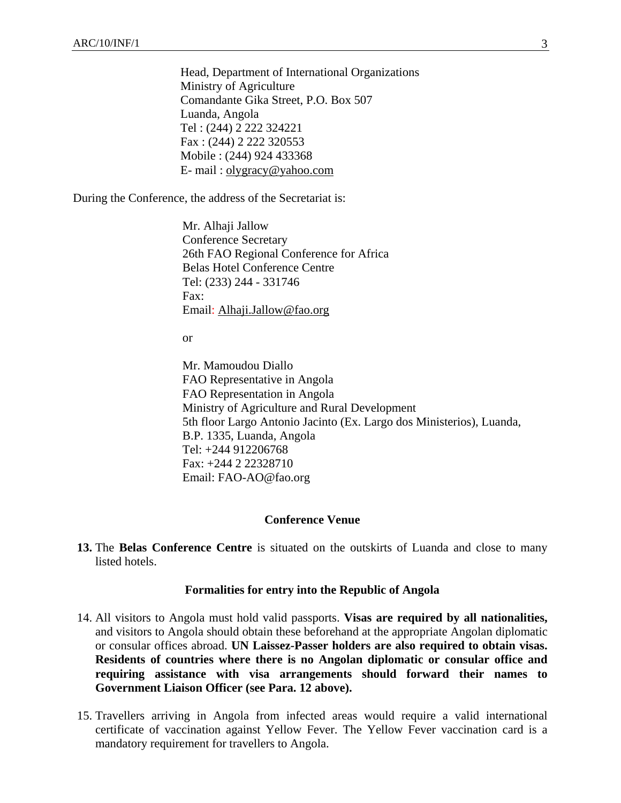Head, Department of International Organizations Ministry of Agriculture Comandante Gika Street, P.O. Box 507 Luanda, Angola Tel : (244) 2 222 324221 Fax : (244) 2 222 320553 Mobile : (244) 924 433368 E- mail : olygracy@yahoo.com

During the Conference, the address of the Secretariat is:

Mr. Alhaji Jallow Conference Secretary 26th FAO Regional Conference for Africa Belas Hotel Conference Centre Tel: (233) 244 - 331746 Fax: Email: Alhaji.Jallow@fao.org

or

Mr. Mamoudou Diallo FAO Representative in Angola FAO Representation in Angola Ministry of Agriculture and Rural Development 5th floor Largo Antonio Jacinto (Ex. Largo dos Ministerios), Luanda, B.P. 1335, Luanda, Angola Tel: +244 912206768 Fax: +244 2 22328710 Email: FAO-AO@fao.org

#### **Conference Venue**

**13.** The **Belas Conference Centre** is situated on the outskirts of Luanda and close to many listed hotels.

#### **Formalities for entry into the Republic of Angola**

- 14. All visitors to Angola must hold valid passports. **Visas are required by all nationalities,**  and visitors to Angola should obtain these beforehand at the appropriate Angolan diplomatic or consular offices abroad. **UN Laissez-Passer holders are also required to obtain visas. Residents of countries where there is no Angolan diplomatic or consular office and requiring assistance with visa arrangements should forward their names to Government Liaison Officer (see Para. 12 above).**
- 15. Travellers arriving in Angola from infected areas would require a valid international certificate of vaccination against Yellow Fever. The Yellow Fever vaccination card is a mandatory requirement for travellers to Angola.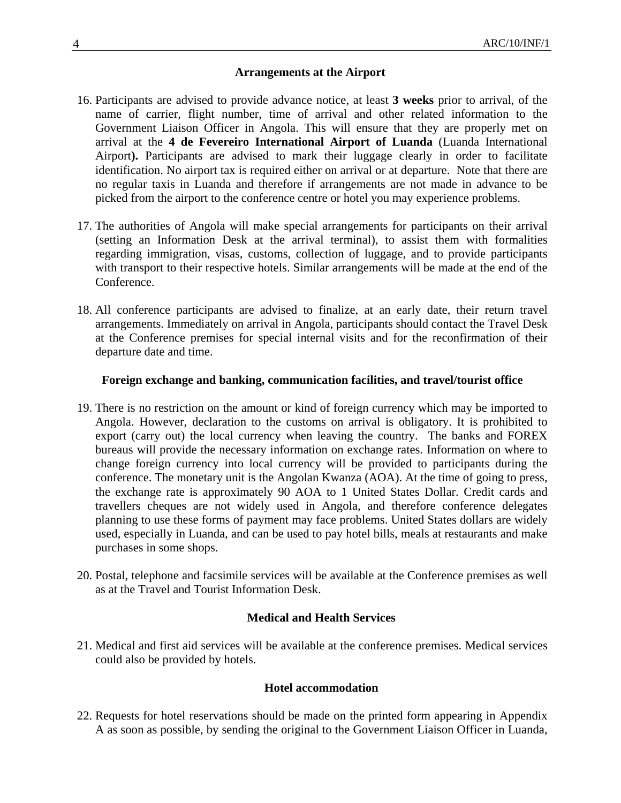#### **Arrangements at the Airport**

- 16. Participants are advised to provide advance notice, at least **3 weeks** prior to arrival, of the name of carrier, flight number, time of arrival and other related information to the Government Liaison Officer in Angola. This will ensure that they are properly met on arrival at the **4 de Fevereiro International Airport of Luanda** (Luanda International Airport**).** Participants are advised to mark their luggage clearly in order to facilitate identification. No airport tax is required either on arrival or at departure. Note that there are no regular taxis in Luanda and therefore if arrangements are not made in advance to be picked from the airport to the conference centre or hotel you may experience problems.
- 17. The authorities of Angola will make special arrangements for participants on their arrival (setting an Information Desk at the arrival terminal), to assist them with formalities regarding immigration, visas, customs, collection of luggage, and to provide participants with transport to their respective hotels. Similar arrangements will be made at the end of the Conference.
- 18. All conference participants are advised to finalize, at an early date, their return travel arrangements. Immediately on arrival in Angola, participants should contact the Travel Desk at the Conference premises for special internal visits and for the reconfirmation of their departure date and time.

#### **Foreign exchange and banking, communication facilities, and travel/tourist office**

- 19. There is no restriction on the amount or kind of foreign currency which may be imported to Angola. However, declaration to the customs on arrival is obligatory. It is prohibited to export (carry out) the local currency when leaving the country. The banks and FOREX bureaus will provide the necessary information on exchange rates. Information on where to change foreign currency into local currency will be provided to participants during the conference. The monetary unit is the Angolan Kwanza (AOA). At the time of going to press, the exchange rate is approximately 90 AOA to 1 United States Dollar. Credit cards and travellers cheques are not widely used in Angola, and therefore conference delegates planning to use these forms of payment may face problems. United States dollars are widely used, especially in Luanda, and can be used to pay hotel bills, meals at restaurants and make purchases in some shops.
- 20. Postal, telephone and facsimile services will be available at the Conference premises as well as at the Travel and Tourist Information Desk.

### **Medical and Health Services**

21. Medical and first aid services will be available at the conference premises. Medical services could also be provided by hotels.

#### **Hotel accommodation**

22. Requests for hotel reservations should be made on the printed form appearing in Appendix A as soon as possible, by sending the original to the Government Liaison Officer in Luanda,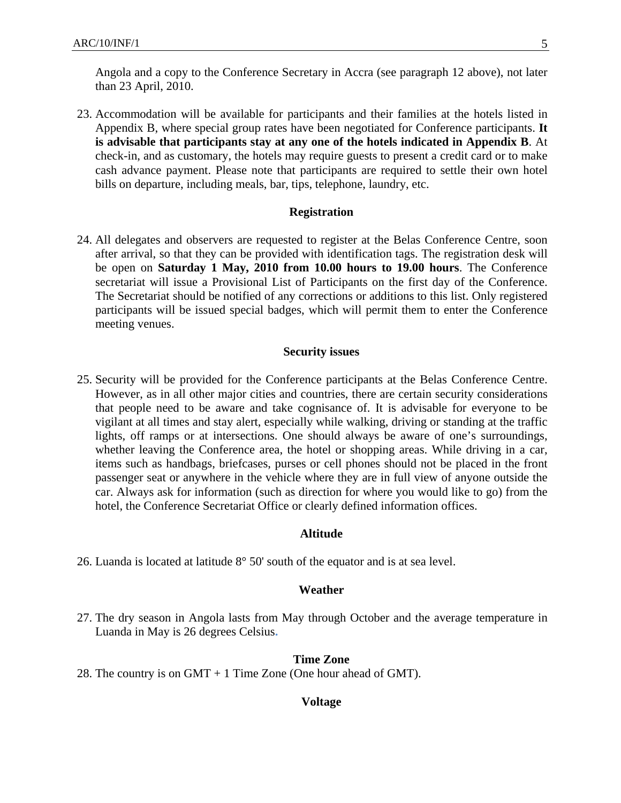Angola and a copy to the Conference Secretary in Accra (see paragraph 12 above), not later than 23 April, 2010.

23. Accommodation will be available for participants and their families at the hotels listed in Appendix B, where special group rates have been negotiated for Conference participants. **It is advisable that participants stay at any one of the hotels indicated in Appendix B**. At check-in, and as customary, the hotels may require guests to present a credit card or to make cash advance payment. Please note that participants are required to settle their own hotel bills on departure, including meals, bar, tips, telephone, laundry, etc.

#### **Registration**

24. All delegates and observers are requested to register at the Belas Conference Centre, soon after arrival, so that they can be provided with identification tags. The registration desk will be open on **Saturday 1 May, 2010 from 10.00 hours to 19.00 hours**. The Conference secretariat will issue a Provisional List of Participants on the first day of the Conference. The Secretariat should be notified of any corrections or additions to this list. Only registered participants will be issued special badges, which will permit them to enter the Conference meeting venues.

#### **Security issues**

25. Security will be provided for the Conference participants at the Belas Conference Centre. However, as in all other major cities and countries, there are certain security considerations that people need to be aware and take cognisance of. It is advisable for everyone to be vigilant at all times and stay alert, especially while walking, driving or standing at the traffic lights, off ramps or at intersections. One should always be aware of one's surroundings, whether leaving the Conference area, the hotel or shopping areas. While driving in a car, items such as handbags, briefcases, purses or cell phones should not be placed in the front passenger seat or anywhere in the vehicle where they are in full view of anyone outside the car. Always ask for information (such as direction for where you would like to go) from the hotel, the Conference Secretariat Office or clearly defined information offices.

#### **Altitude**

26. Luanda is located at latitude 8° 50' south of the equator and is at sea level.

#### **Weather**

27. The dry season in Angola lasts from May through October and the average temperature in Luanda in May is 26 degrees Celsius**.**

#### **Time Zone**

28. The country is on GMT + 1 Time Zone (One hour ahead of GMT).

#### **Voltage**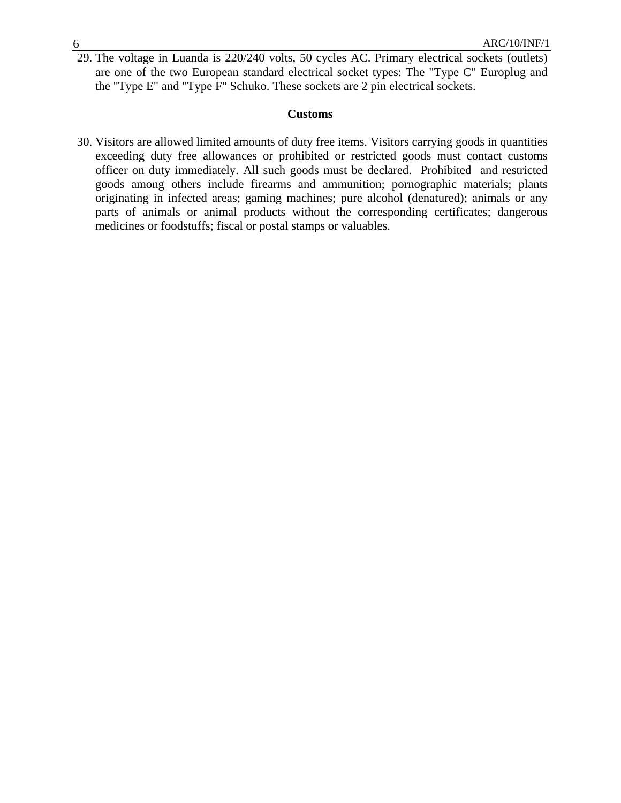29. The voltage in Luanda is 220/240 volts, 50 cycles AC. Primary electrical sockets (outlets) are one of the two European standard electrical socket types: The "Type C" Europlug and the "Type E" and "Type F" Schuko. These sockets are 2 pin electrical sockets.

#### **Customs**

30. Visitors are allowed limited amounts of duty free items. Visitors carrying goods in quantities exceeding duty free allowances or prohibited or restricted goods must contact customs officer on duty immediately. All such goods must be declared. Prohibited and restricted goods among others include firearms and ammunition; pornographic materials; plants originating in infected areas; gaming machines; pure alcohol (denatured); animals or any parts of animals or animal products without the corresponding certificates; dangerous medicines or foodstuffs; fiscal or postal stamps or valuables.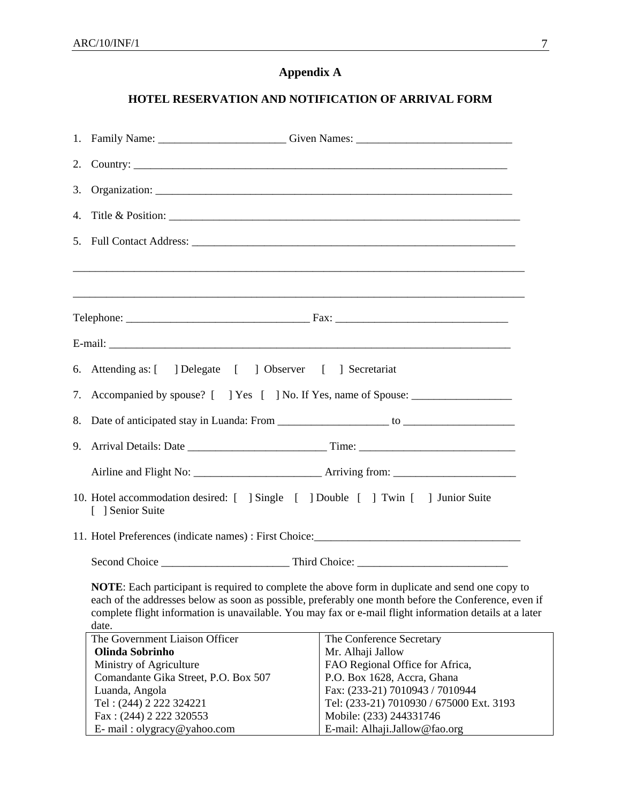# **Appendix A**

# **HOTEL RESERVATION AND NOTIFICATION OF ARRIVAL FORM**

|    | 1. Family Name: ______________________________Given Names: ______________________                                                                                                                                                                                                                                                  |                                                                                                                                                                                                                                                            |  |  |  |  |  |
|----|------------------------------------------------------------------------------------------------------------------------------------------------------------------------------------------------------------------------------------------------------------------------------------------------------------------------------------|------------------------------------------------------------------------------------------------------------------------------------------------------------------------------------------------------------------------------------------------------------|--|--|--|--|--|
|    |                                                                                                                                                                                                                                                                                                                                    |                                                                                                                                                                                                                                                            |  |  |  |  |  |
| 3. |                                                                                                                                                                                                                                                                                                                                    |                                                                                                                                                                                                                                                            |  |  |  |  |  |
|    |                                                                                                                                                                                                                                                                                                                                    |                                                                                                                                                                                                                                                            |  |  |  |  |  |
|    |                                                                                                                                                                                                                                                                                                                                    |                                                                                                                                                                                                                                                            |  |  |  |  |  |
|    |                                                                                                                                                                                                                                                                                                                                    |                                                                                                                                                                                                                                                            |  |  |  |  |  |
|    |                                                                                                                                                                                                                                                                                                                                    |                                                                                                                                                                                                                                                            |  |  |  |  |  |
|    |                                                                                                                                                                                                                                                                                                                                    |                                                                                                                                                                                                                                                            |  |  |  |  |  |
|    | 6. Attending as: [ ] Delegate [ ] Observer [ ] Secretariat                                                                                                                                                                                                                                                                         |                                                                                                                                                                                                                                                            |  |  |  |  |  |
|    | 7. Accompanied by spouse? [ ] Yes [ ] No. If Yes, name of Spouse: _______________                                                                                                                                                                                                                                                  |                                                                                                                                                                                                                                                            |  |  |  |  |  |
| 8. |                                                                                                                                                                                                                                                                                                                                    |                                                                                                                                                                                                                                                            |  |  |  |  |  |
|    |                                                                                                                                                                                                                                                                                                                                    |                                                                                                                                                                                                                                                            |  |  |  |  |  |
|    |                                                                                                                                                                                                                                                                                                                                    |                                                                                                                                                                                                                                                            |  |  |  |  |  |
|    | 10. Hotel accommodation desired: [ ] Single [ ] Double [ ] Twin [ ] Junior Suite<br>[ ] Senior Suite                                                                                                                                                                                                                               |                                                                                                                                                                                                                                                            |  |  |  |  |  |
|    |                                                                                                                                                                                                                                                                                                                                    |                                                                                                                                                                                                                                                            |  |  |  |  |  |
|    |                                                                                                                                                                                                                                                                                                                                    |                                                                                                                                                                                                                                                            |  |  |  |  |  |
|    | <b>NOTE:</b> Each participant is required to complete the above form in duplicate and send one copy to<br>each of the addresses below as soon as possible, preferably one month before the Conference, even if<br>complete flight information is unavailable. You may fax or e-mail flight information details at a later<br>date. |                                                                                                                                                                                                                                                            |  |  |  |  |  |
|    | The Government Liaison Officer<br>Olinda Sobrinho<br>Ministry of Agriculture<br>Comandante Gika Street, P.O. Box 507<br>Luanda, Angola<br>Tel: (244) 2 222 324221<br>Fax: (244) 2 222 320553<br>E-mail: olygracy@yahoo.com                                                                                                         | The Conference Secretary<br>Mr. Alhaji Jallow<br>FAO Regional Office for Africa,<br>P.O. Box 1628, Accra, Ghana<br>Fax: (233-21) 7010943 / 7010944<br>Tel: (233-21) 7010930 / 675000 Ext. 3193<br>Mobile: (233) 244331746<br>E-mail: Alhaji.Jallow@fao.org |  |  |  |  |  |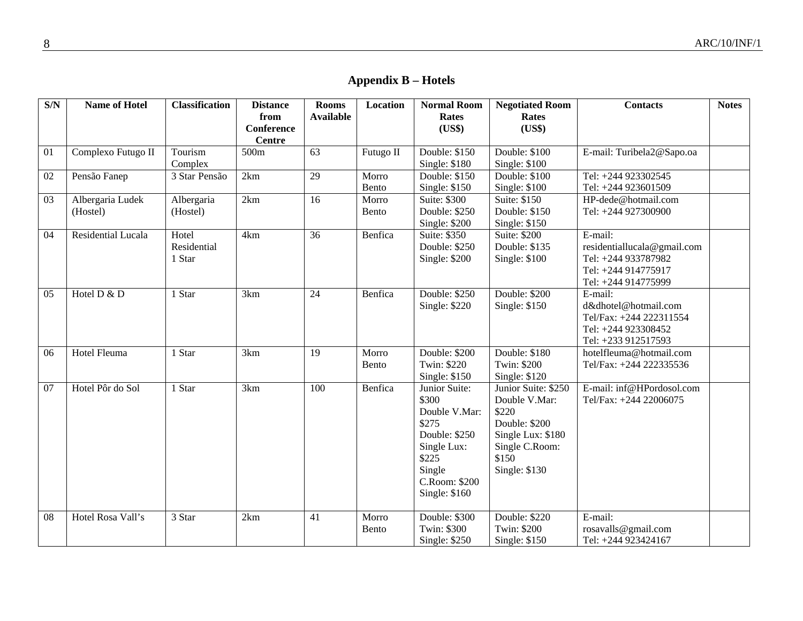**Appendix B – Hotels** 

| S/N | <b>Name of Hotel</b> | <b>Classification</b> | <b>Distance</b><br>from            | <b>Rooms</b><br><b>Available</b> | <b>Location</b> | <b>Normal Room</b><br><b>Rates</b> | <b>Negotiated Room</b><br><b>Rates</b> | <b>Contacts</b>                | <b>Notes</b> |
|-----|----------------------|-----------------------|------------------------------------|----------------------------------|-----------------|------------------------------------|----------------------------------------|--------------------------------|--------------|
|     |                      |                       | <b>Conference</b><br><b>Centre</b> |                                  |                 | (US\$)                             | (US\$)                                 |                                |              |
| 01  | Complexo Futugo II   | Tourism               | 500m                               | $\overline{63}$                  | Futugo II       | Double: \$150                      | Double: \$100                          | E-mail: Turibela2@Sapo.oa      |              |
|     |                      | Complex               |                                    |                                  |                 | Single: $$180$                     | Single: $$100$                         |                                |              |
| 02  | Pensão Fanep         | 3 Star Pensão         | 2km                                | 29                               | Morro           | Double: \$150                      | Double: \$100                          | Tel: +244 923302545            |              |
|     |                      |                       |                                    |                                  | Bento           | Single: \$150                      | Single: $$100$                         | Tel: +244 923601509            |              |
| 03  | Albergaria Ludek     | Albergaria            | 2km                                | 16                               | Morro           | Suite: \$300                       | Suite: \$150                           | HP-dede@hotmail.com            |              |
|     | (Hostel)             | (Hostel)              |                                    |                                  | Bento           | Double: \$250                      | Double: \$150                          | Tel: +244 927300900            |              |
|     |                      |                       |                                    |                                  |                 | Single: \$200                      | Single: \$150                          |                                |              |
| 04  | Residential Lucala   | Hotel                 | 4km                                | 36                               | Benfica         | Suite: \$350                       | Suite: \$200                           | E-mail:                        |              |
|     |                      | Residential           |                                    |                                  |                 | Double: \$250                      | Double: \$135                          | residentiallucala@gmail.com    |              |
|     |                      | 1 Star                |                                    |                                  |                 | Single: \$200                      | Single: $$100$                         | Tel: +244 933787982            |              |
|     |                      |                       |                                    |                                  |                 |                                    |                                        | Tel: +244 914775917            |              |
| 05  | Hotel D & D          | 1 Star                | 3km                                | 24                               | Benfica         | Double: \$250                      | Double: \$200                          | Tel: +244 914775999<br>E-mail: |              |
|     |                      |                       |                                    |                                  |                 | <b>Single: \$220</b>               | Single: \$150                          | d&dhotel@hotmail.com           |              |
|     |                      |                       |                                    |                                  |                 |                                    |                                        | Tel/Fax: +244 222311554        |              |
|     |                      |                       |                                    |                                  |                 |                                    |                                        | Tel: +244 923308452            |              |
|     |                      |                       |                                    |                                  |                 |                                    |                                        | Tel: +233 912517593            |              |
| 06  | Hotel Fleuma         | 1 Star                | 3km                                | 19                               | Morro           | Double: \$200                      | Double: \$180                          | hotelfleuma@hotmail.com        |              |
|     |                      |                       |                                    |                                  | Bento           | Twin: \$220                        | Twin: \$200                            | Tel/Fax: +244 222335536        |              |
|     |                      |                       |                                    |                                  |                 | Single: $$150$                     | Single: \$120                          |                                |              |
| 07  | Hotel Pôr do Sol     | 1 Star                | 3km                                | 100                              | Benfica         | Junior Suite:                      | Junior Suite: \$250                    | E-mail: inf@HPordosol.com      |              |
|     |                      |                       |                                    |                                  |                 | \$300                              | Double V.Mar:                          | Tel/Fax: +244 22006075         |              |
|     |                      |                       |                                    |                                  |                 | Double V.Mar:                      | \$220                                  |                                |              |
|     |                      |                       |                                    |                                  |                 | \$275                              | Double: \$200                          |                                |              |
|     |                      |                       |                                    |                                  |                 | Double: \$250                      | Single Lux: \$180                      |                                |              |
|     |                      |                       |                                    |                                  |                 | Single Lux:                        | Single C.Room:                         |                                |              |
|     |                      |                       |                                    |                                  |                 | \$225                              | \$150                                  |                                |              |
|     |                      |                       |                                    |                                  |                 | Single<br>C.Room: \$200            | Single: \$130                          |                                |              |
|     |                      |                       |                                    |                                  |                 | Single: \$160                      |                                        |                                |              |
|     |                      |                       |                                    |                                  |                 |                                    |                                        |                                |              |
| 08  | Hotel Rosa Vall's    | 3 Star                | 2km                                | 41                               | Morro           | Double: \$300                      | Double: \$220                          | E-mail:                        |              |
|     |                      |                       |                                    |                                  | Bento           | Twin: \$300                        | Twin: \$200                            | rosavalls@gmail.com            |              |
|     |                      |                       |                                    |                                  |                 | Single: \$250                      | Single: \$150                          | Tel: +244 923424167            |              |